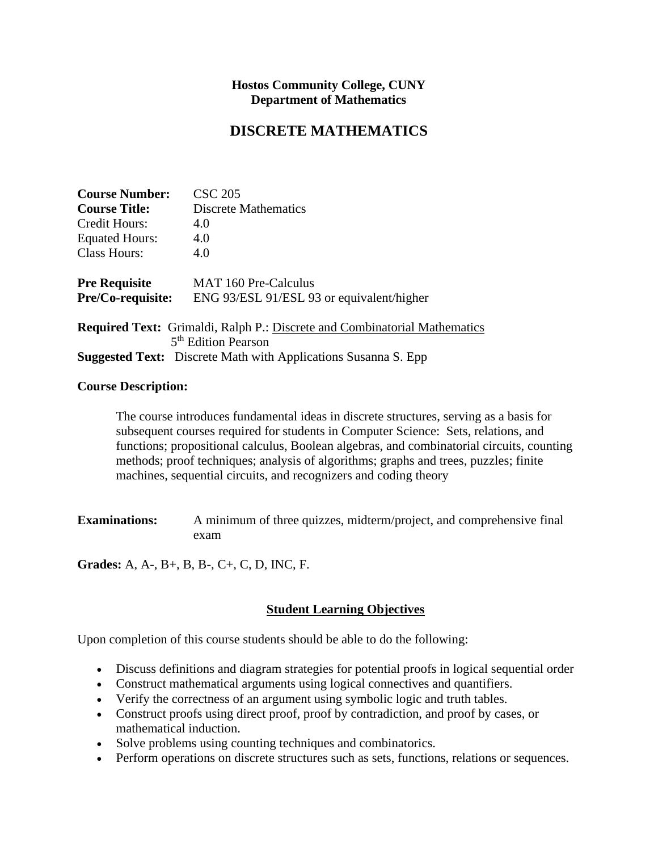#### **Hostos Community College, CUNY Department of Mathematics**

# **DISCRETE MATHEMATICS**

| <b>Course Number:</b> | <b>CSC 205</b>                                                                   |
|-----------------------|----------------------------------------------------------------------------------|
| <b>Course Title:</b>  | Discrete Mathematics                                                             |
| Credit Hours:         | 4.0                                                                              |
| <b>Equated Hours:</b> | 4.0                                                                              |
| <b>Class Hours:</b>   | 4.0                                                                              |
| <b>Pre Requisite</b>  | <b>MAT 160 Pre-Calculus</b>                                                      |
| Pre/Co-requisite:     | ENG 93/ESL 91/ESL 93 or equivalent/higher                                        |
|                       | <b>Required Text:</b> Grimaldi, Ralph P.: Discrete and Combinatorial Mathematics |
|                       | 5 <sup>th</sup> Edition Pearson                                                  |
|                       | <b>Suggested Text:</b> Discrete Math with Applications Susanna S. Epp            |

#### **Course Description:**

The course introduces fundamental ideas in discrete structures, serving as a basis for subsequent courses required for students in Computer Science: Sets, relations, and functions; propositional calculus, Boolean algebras, and combinatorial circuits, counting methods; proof techniques; analysis of algorithms; graphs and trees, puzzles; finite machines, sequential circuits, and recognizers and coding theory

**Examinations:** A minimum of three quizzes, midterm/project, and comprehensive final exam

**Grades:** A, A-, B+, B, B-, C+, C, D, INC, F.

## **Student Learning Objectives**

Upon completion of this course students should be able to do the following:

- Discuss definitions and diagram strategies for potential proofs in logical sequential order
- Construct mathematical arguments using logical connectives and quantifiers.
- Verify the correctness of an argument using symbolic logic and truth tables.
- Construct proofs using direct proof, proof by contradiction, and proof by cases, or mathematical induction.
- Solve problems using counting techniques and combinatorics.
- Perform operations on discrete structures such as sets, functions, relations or sequences.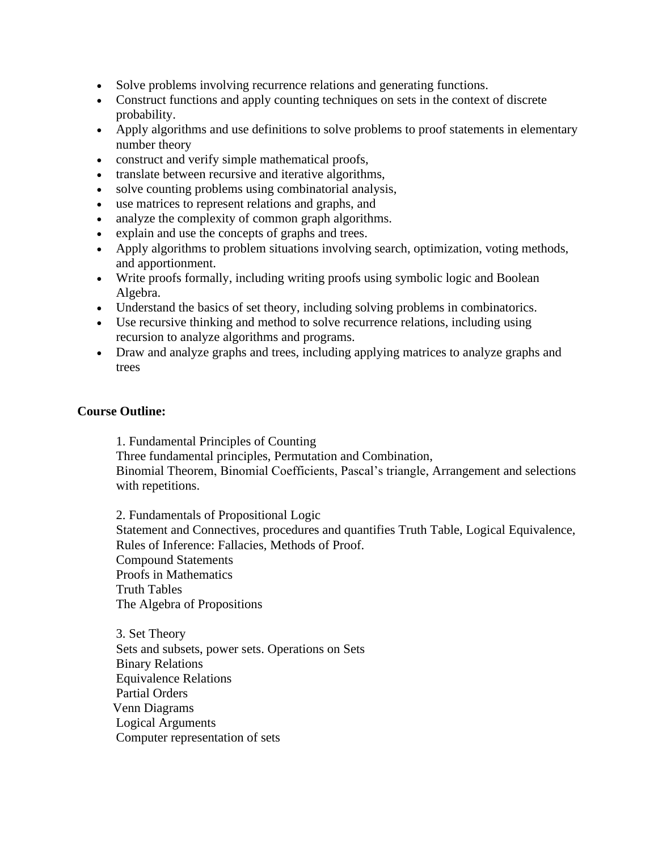- Solve problems involving recurrence relations and generating functions.
- Construct functions and apply counting techniques on sets in the context of discrete probability.
- Apply algorithms and use definitions to solve problems to proof statements in elementary number theory
- construct and verify simple mathematical proofs,
- translate between recursive and iterative algorithms,
- solve counting problems using combinatorial analysis,
- use matrices to represent relations and graphs, and
- analyze the complexity of common graph algorithms.
- explain and use the concepts of graphs and trees.
- Apply algorithms to problem situations involving search, optimization, voting methods, and apportionment.
- Write proofs formally, including writing proofs using symbolic logic and Boolean Algebra.
- Understand the basics of set theory, including solving problems in combinatorics.
- Use recursive thinking and method to solve recurrence relations, including using recursion to analyze algorithms and programs.
- Draw and analyze graphs and trees, including applying matrices to analyze graphs and trees

## **Course Outline:**

1. Fundamental Principles of Counting

Three fundamental principles, Permutation and Combination,

Binomial Theorem, Binomial Coefficients, Pascal's triangle, Arrangement and selections with repetitions.

2. Fundamentals of Propositional Logic Statement and Connectives, procedures and quantifies Truth Table, Logical Equivalence, Rules of Inference: Fallacies, Methods of Proof. Compound Statements Proofs in Mathematics Truth Tables The Algebra of Propositions

3. Set Theory Sets and subsets, power sets. Operations on Sets Binary Relations Equivalence Relations Partial Orders Venn Diagrams Logical Arguments Computer representation of sets